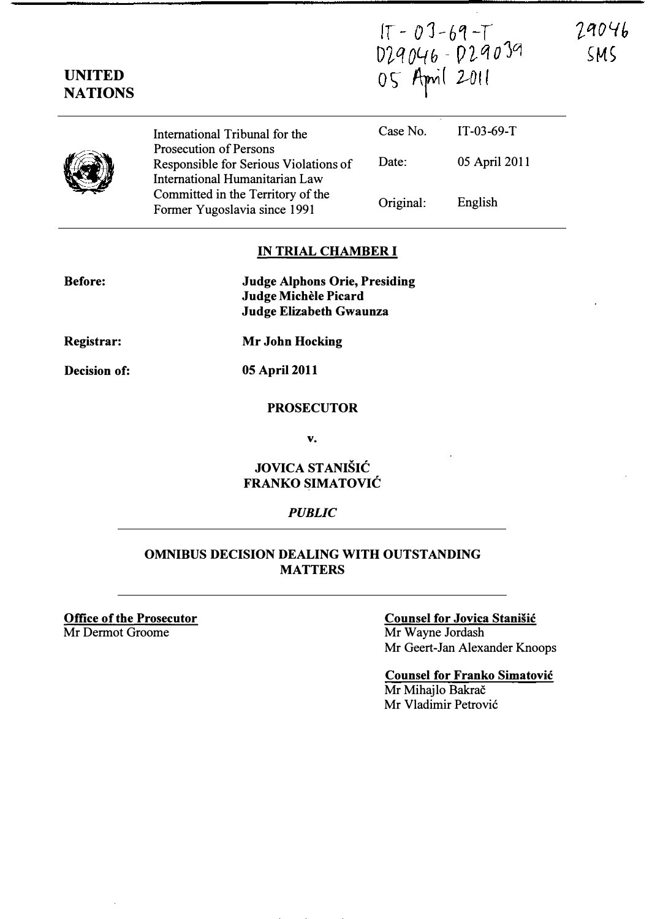$15 - 03 - 69 - 7$ <br>029046 - 029039<br>05 April 2011

29046  $<sub>5</sub>$ </sub>

| <b>NATIONS</b> |                                                                                                          |           |               |  |
|----------------|----------------------------------------------------------------------------------------------------------|-----------|---------------|--|
|                | International Tribunal for the                                                                           | Case No.  | $IT-03-69-T$  |  |
|                | <b>Prosecution of Persons</b><br>Responsible for Serious Violations of<br>International Humanitarian Law | Date:     | 05 April 2011 |  |
|                | Committed in the Territory of the<br>Former Yugoslavia since 1991                                        | Original: | English       |  |

### IN TRIAL CHAMBER I

Judge Alphons Orie, Presiding Judge Michèle Picard Judge Elizabeth Gwaunza

Registrar:

Before:

UNITED

Mr John Hocking

Decision of:

05 April 2011

#### PROSECUTOR

v.

# JOVICA STANISIC FRANKO SIMATOVIC

#### **PUBLIC**

## OMNIBUS DECISION DEALING WITH OUTSTANDING MATTERS

Office of the Prosecutor Mr Dermot Groome

# Counsel for Jovica Stanisic Mr Wayne Jordash

Mr Geert-Jan Alexander Knoops

Counsel for Franko Simatovic Mr Mihajlo Bakrač Mr Vladimir Petrovic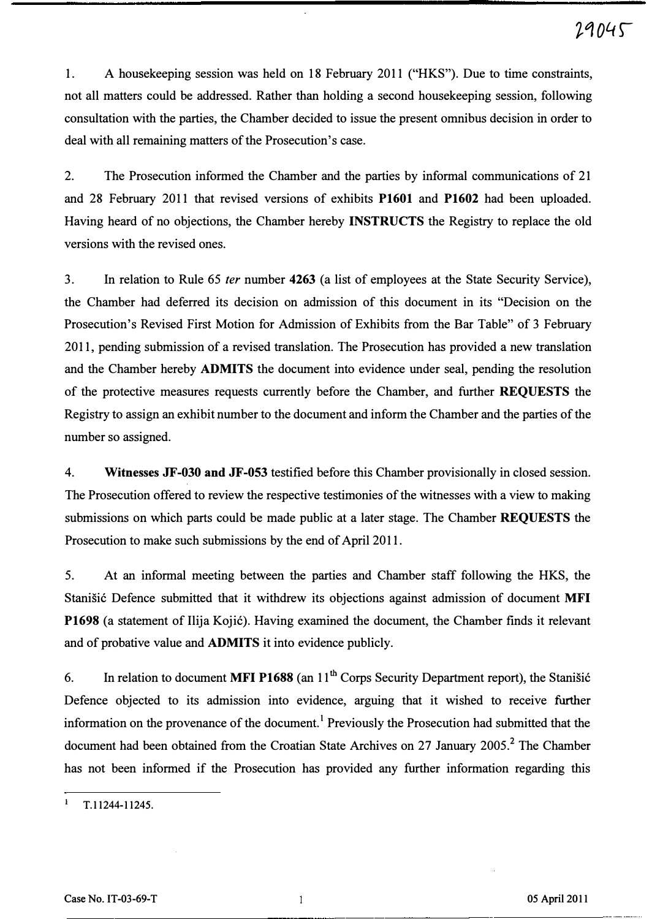1. A housekeeping session was held on 18 February 2011 ("HKS"). Due to time constraints, not all matters could be addressed. Rather than holding a second housekeeping session, following consultation with the parties, the Chamber decided to issue the present omnibus decision in order to deal with all remaining matters of the Prosecution's case.

2. The Prosecution informed the Chamber and the parties by informal communications of 21 and 28 February 2011 that revised versions of exhibits P1601 and P1602 had been uploaded. Having heard of no objections, the Chamber hereby INSTRUCTS the Registry to replace the old versions with the revised ones.

3. In relation to Rule 65 fer number 4263 (a list of employees at the State Security Service), the Chamber had deferred its decision on admission of this document in its " Decision on the Prosecution's Revised First Motion for Admission of Exhibits from the Bar Table" of 3 February 2011, pending submission of a revised translation. The Prosecution has provided a new translation and the Chamber hereby ADMITS the document into evidence under seal, pending the resolution of the protective measures requests currently before the Chamber, and further REQUESTS the Registry to assign an exhibit number to the document and inform the Chamber and the parties of the number so assigned.

4. Witnesses JF-030 and JF-053 testified before this Chamber provisionally in closed session. The Prosecution offered to review the respective testimonies of the witnesses with a view to making submissions on which parts could be made public at a later stage. The Chamber REQUESTS the Prosecution to make such submissions by the end of April 2011.

5. At an informal meeting between the parties and Chamber staff following the HKS, the Stanisic Defence submitted that it withdrew its objections against admission of document MFI P1698 (a statement of Ilija Kojic). Having examined the document, the Chamber finds it relevant and of probative value and ADMITS it into evidence publicly.

6. In relation to document MFI P1688 (an  $11<sup>th</sup>$  Corps Security Department report), the Stanisic Defence objected to its admission into evidence, arguing that it wished to receive further information on the provenance of the document.<sup>1</sup> Previously the Prosecution had submitted that the document had been obtained from the Croatian State Archives on 27 January 2005.<sup>2</sup> The Chamber has not been informed if the Prosecution has provided any further information regarding this

T.11244-11245.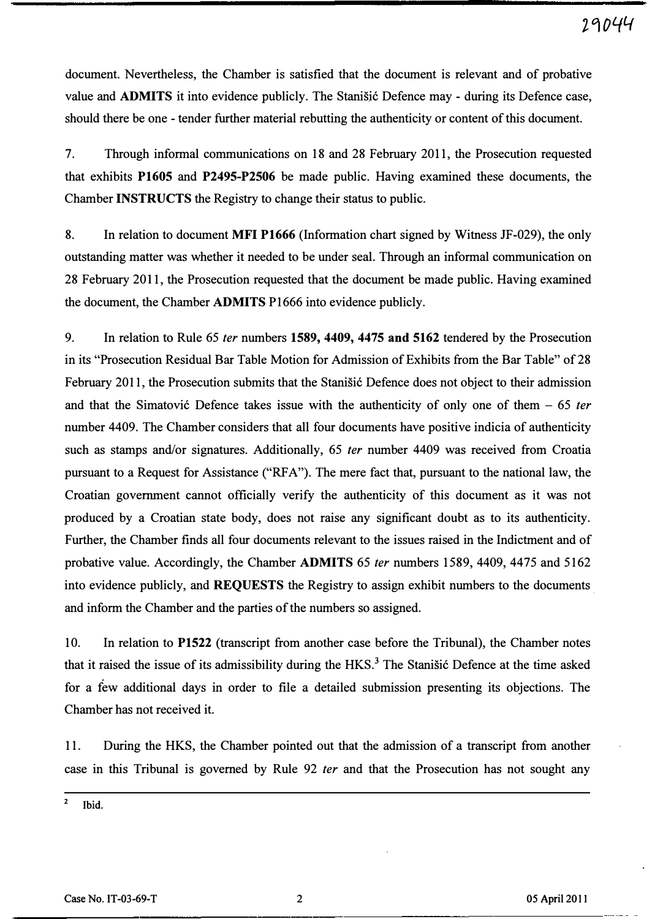document. Nevertheless, the Chamber is satisfied that the document is relevant and of probative value and **ADMITS** it into evidence publicly. The Stanistic Defence may - during its Defence case, should there be one - tender further material rebutting the authenticity or content of this document.

7. Through informal communications on 18 and 28 February 2011, the Prosecution requested that exhibits P1605 and P2495-P2506 be made public. Having examined these documents, the Chamber INSTRUCTS the Registry to change their status to public.

8. In relation to document MFI P1666 (Information chart signed by Witness JF-029), the only outstanding matter was whether it needed to be under seal. Through an informal communication on 28 February 2011, the Prosecution requested that the document be made public. Having examined the document, the Chamber ADMITS P1666 into evidence publicly.

9. In relation to Rule 65 *ter* numbers 1589, 4409, 4475 and 5162 tendered by the Prosecution in its "Prosecution Residual Bar Table Motion for Admission of Exhibits from the Bar Table" of 28 February 2011, the Prosecution submits that the Stanisic Defence does not object to their admission and that the Simatović Defence takes issue with the authenticity of only one of them  $-65$  ter number 4409. The Chamber considers that all four documents have positive indicia of authenticity such as stamps and/or signatures. Additionally, 65 *ter* number 4409 was received from Croatia pursuant to a Request for Assistance ("RFA"). The mere fact that, pursuant to the national law, the Croatian government cannot officially verify the authenticity of this document as it was not produced by a Croatian state body, does not raise any significant doubt as to its authenticity. Further, the Chamber finds all four documents relevant to the issues raised in the Indictment and of probative value. Accordingly, the Chamber ADMITS 65 fer numbers 1589, 4409, 4475 and 5162 into evidence publicly, and **REQUESTS** the Registry to assign exhibit numbers to the documents. and inform the Chamber and the parties of the numbers so assigned.

10. In relation to P1522 (transcript from another case before the Tribunal), the Chamber notes that it raised the issue of its admissibility during the  $HKS$ <sup>3</sup>. The Stanisic Defence at the time asked for a few additional days in order to file a detailed submission presenting its objections. The Chamber has not received it.

11. During the HKS, the Chamber pointed out that the admission of a transcript from another case in this Tribunal is governed by Rule 92 fer and that the Prosecution has not sought any

 $2$  Ibid.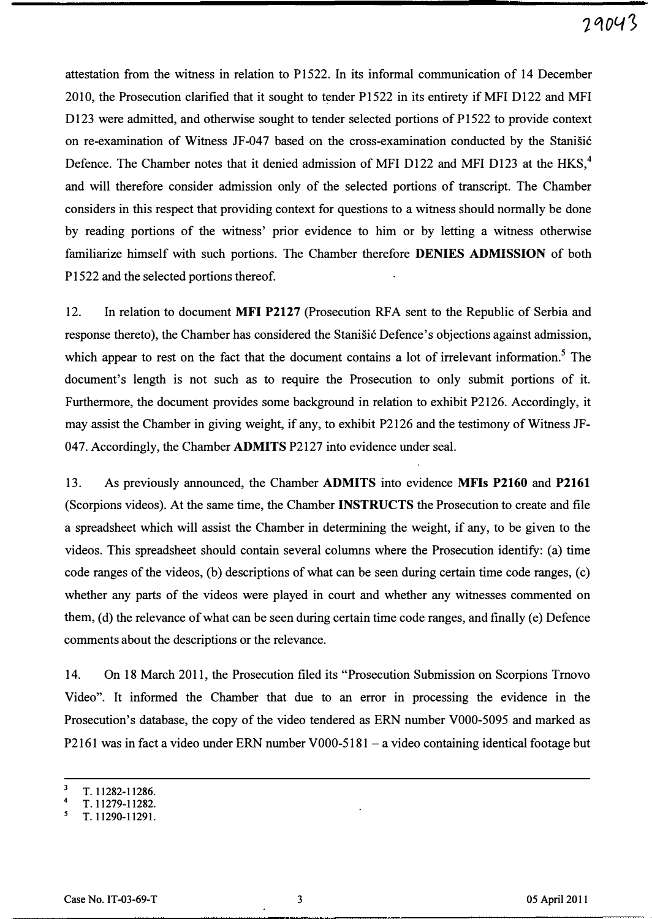attestation from the witness in relation to P1522. In its informal communication of 14 December 2010, the Prosecution clarified that it sought to tender P1522 in its entirety if MFI D122 and MFI D123 were admitted, and otherwise sought to tender selected portions of P1522 to provide context on re-examination of Witness JF-047 based on the cross-examination conducted by the Stanisic Defence. The Chamber notes that it denied admission of MFI D122 and MFI D123 at the HKS,<sup>4</sup> and will therefore consider admission only of the selected portions of transcript. The Chamber considers in this respect that providing context for questions to a witness should normally be done by reading portions of the witness' prior evidence to him or by letting a witness otherwise familiarize himself with such portions. The Chamber therefore DENIES ADMISSION of both P1522 and the selected portions thereof.

12. In relation to document MFI P2127 (Prosecution RFA sent to the Republic of Serbia and response thereto), the Chamber has considered the Stanišić Defence's objections against admission, which appear to rest on the fact that the document contains a lot of irrelevant information.<sup>5</sup> The document's length is not such as to require the Prosecution to only submit portions of it. Furthermore, the document provides some background in relation to exhibit P2126. Accordingly, it may assist the Chamber in giving weight, if any, to exhibit P2126 and the testimony of Witness JF-047. Accordingly, the Chamber ADMITS P2127 into evidence under seal.

13. As previously announced, the Chamber ADMITS into evidence MFIs P2160 and P2161 (Scorpions videos). At the same time, the Chamber INSTRUCTS the Prosecution to create and file a spreadsheet which will assist the Chamber in determining the weight, if any, to be given to the videos. This spreadsheet should contain several columns where the Prosecution identify: (a) time code ranges of the videos, (b) descriptions of what can be seen during certain time code ranges, (c) whether any parts of the videos were played in court and whether any witnesses commented on them, (d) the relevance of what can be seen during certain time code ranges, and finally (e) Defence comments about the descriptions or the relevance.

14. On 18 March 2011, the Prosecution filed its "Prosecution Submission on Scorpions Tmovo Video". It informed the Chamber that due to an error in processing the evidence in the Prosecution's database, the copy of the video tendered as ERN number VOOO-5095 and marked as P2161 was in fact a video under ERN number V000-5181 - a video containing identical footage but

<sup>3</sup> T.11282-11286.

<sup>4</sup>  T. 11279-11282.

T.11290-11291.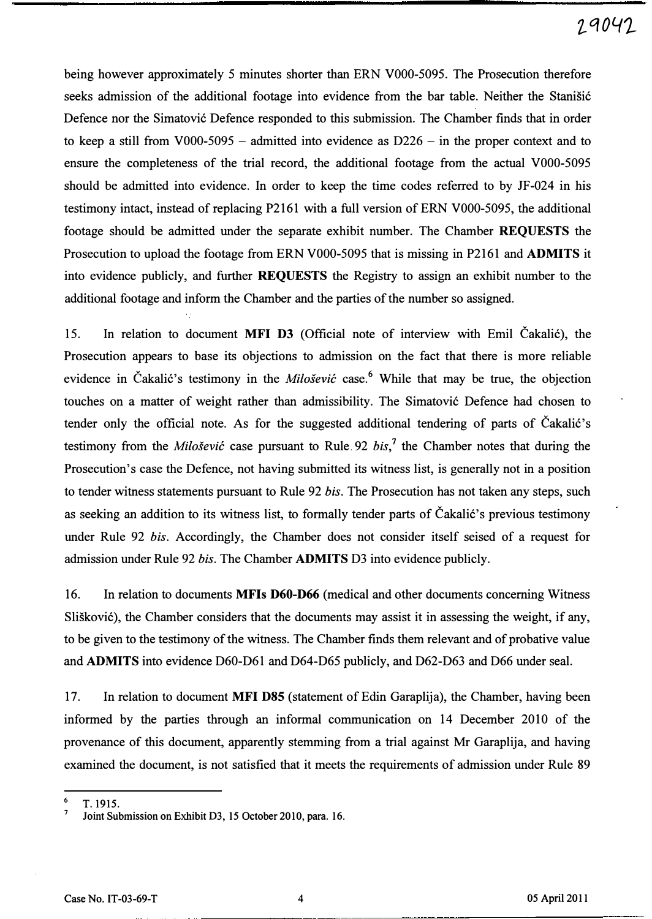# z-q04�

being however approximately 5 minutes shorter than ERN VOOO-5095. The Prosecution therefore seeks admission of the additional footage into evidence from the bar table. Neither the Stanisic Defence nor the Simatovic Defence responded to this submission. The Chamber finds that in order to keep a still from V000-5095 - admitted into evidence as  $D226 - in$  the proper context and to ensure the completeness of the trial record, the additional footage from the actual VOOO-5095 should be admitted into evidence. In order to keep the time codes referred to by JF -024 in his testimony intact, instead of replacing P2161 with a full version of ERN VOOO-5095, the additional footage should be admitted under the separate exhibit number. The Chamber REQUESTS the Prosecution to upload the footage from ERN VOOO-5095 that is missing in P2161 and ADMITS it into evidence publicly, and further REQUESTS the Registry to assign an exhibit number to the additional footage and inform the Chamber and the parties of the number so assigned.

15. In relation to document MFI D3 (Official note of interview with Emil Cakalic), the Prosecution appears to base its objections to admission on the fact that there is more reliable evidence in Čakalić's testimony in the *Milošević* case.<sup>6</sup> While that may be true, the objection touches on a matter of weight rather than admissibility. The Simatovic Defence had chosen to tender only the official note. As for the suggested additional tendering of parts of Čakalić's testimony from the *Milošević* case pursuant to Rule. 92 bis,<sup>7</sup> the Chamber notes that during the Prosecution's case the Defence, not having submitted its witness list, is generally not in a position to tender witness statements pursuant to Rule 92 bis. The Prosecution has not taken any steps, such as seeking an addition to its witness list, to formally tender parts of Čakalić's previous testimony under Rule 92 bis. Accordingly, the Chamber does not consider itself seised of a request for admission under Rule 92 bis. The Chamber ADMITS D3 into evidence publicly.

16. In relation to documents MFIs D60-D66 (medical and other documents concerning Witness Sliskovic), the Chamber considers that the documents may assist it in assessing the weight, if any, to be given to the testimony of the witness. The Chamber finds them relevant and of probative value and ADMITS into evidence D60-D61 and D64-D65 publicly, and D62-D63 and D66 under seal.

17. In relation to document MFI D85 (statement of Edin Garaplija), the Chamber, having been informed by the parties through an informal communication on 14 December 2010 of the provenance of this document, apparently stemming from a trial against Mr Garaplija, and having examined the document, is not satisfied that it meets the requirements of admission under Rule 89

 $^6$  T. 1915.

Joint Submission on Exhibit D3, 15 October 2010, para. 16.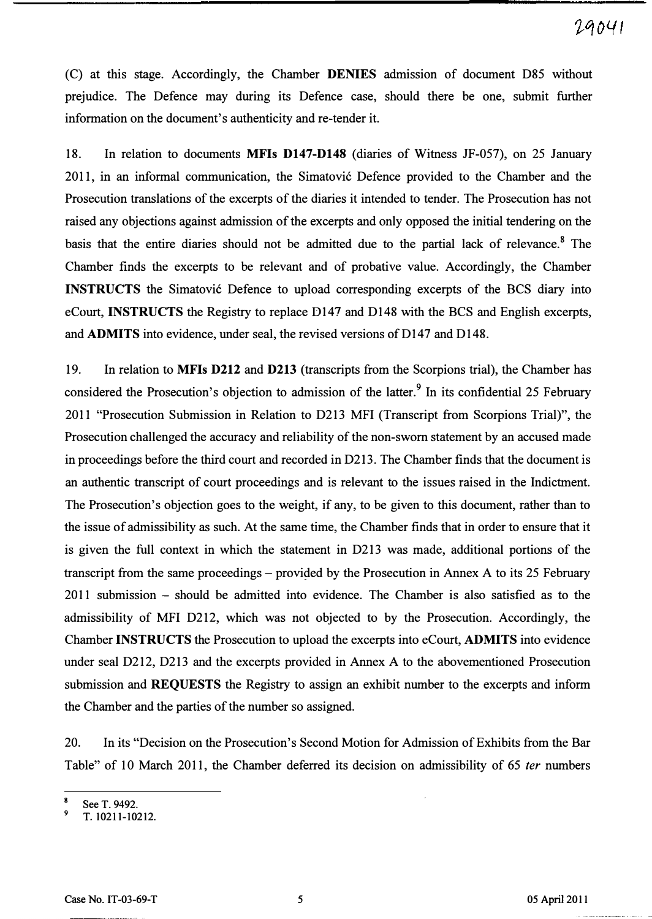(C) at this stage. Accordingly, the Chamber DENIES admission of document D85 without prejudice. The Defence may during its Defence case, should there be one, submit further information on the document's authenticity and re-tender it.

18. In relation to documents MFIs D147-D148 (diaries of Witness JF-057), on 25 January 2011, in an informal communication, the Simatovi6 Defence provided to the Chamber and the Prosecution translations of the excerpts of the diaries it intended to tender. The Prosecution has not raised any objections against admission of the excerpts and only opposed the initial tendering on the basis that the entire diaries should not be admitted due to the partial lack of relevance.<sup>8</sup> The Chamber finds the excerpts to be relevant and of probative value. Accordingly, the Chamber INSTRUCTS the Simatović Defence to upload corresponding excerpts of the BCS diary into eCourt, INSTRUCTS the Registry to replace D147 and D148 with the BCS and English excerpts, and ADMITS into evidence, under seal, the revised versions of D147 and D148.

19. In relation to MFIs D212 and D213 (transcripts from the Scorpions trial), the Chamber has considered the Prosecution's objection to admission of the latter.<sup>9</sup> In its confidential 25 February 2011 "Prosecution Submission in Relation to D213 MFI (Transcript from Scorpions Trial)", the Prosecution challenged the accuracy and reliability of the non-sworn statement by an accused made in proceedings before the third court and recorded in D213. The Chamber finds that the document is an authentic transcript of court proceedings and is relevant to the issues raised in the Indictment. The Prosecution's objection goes to the weight, if any, to be given to this document, rather than to the issue of admissibility as such. At the same time, the Chamber finds that in order to ensure that it is given the full context in which the statement in D213 was made, additional portions of the transcript from the same proceedings – provided by the Prosecution in Annex A to its 25 February 2011 submission - should be admitted into evidence. The Chamber is also satisfied as to the admissibility of MFI D212, which was not objected to by the Prosecution. Accordingly, the Chamber INSTRUCTS the Prosecution to upload the excerpts into eCourt, ADMITS into evidence under seal D212, D213 and the excerpts provided in Annex A to the abovementioned Prosecution submission and REQUESTS the Registry to assign an exhibit number to the excerpts and inform the Chamber and the parties of the number so assigned.

20. In its " Decision on the Prosecution's Second Motion for Admission of Exhibits from the Bar Table" of 10 March 2011, the Chamber deferred its decision on admissibility of 65 ter numbers

<sup>8</sup>  See T. 9492.

<sup>9</sup>  T. 10211-10212.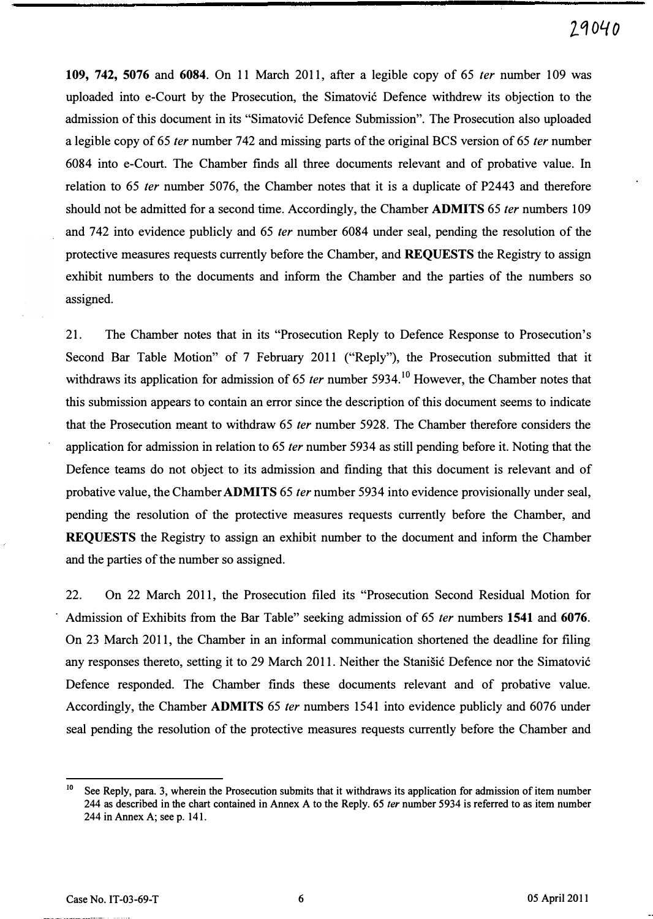109, 742, 5076 and 6084. On 11 March 2011, after a legible copy of 65 fer number 109 was uploaded into e-Court by the Prosecution, the Simatovic Defence withdrew its objection to the admission of this document in its "Simatovic Defence Submission". The Prosecution also uploaded a legible copy of 65 fer number 742 and missing parts of the original BCS version of 65 fer number 6084 into e-Court. The Chamber finds all three documents relevant and of probative value. In relation to 65 fer number 5076, the Chamber notes that it is a duplicate of P2443 and therefore should not be admitted for a second time. Accordingly, the Chamber **ADMITS** 65 *ter* numbers 109 and 742 into evidence publicly and 65 fer number 6084 under seal, pending the resolution of the protective measures requests currently before the Chamber, and REQUESTS the Registry to assign exhibit numbers to the documents and inform the Chamber and the parties of the numbers so assigned.

21. The Chamber notes that in its "Prosecution Reply to Defence Response to Prosecution's Second Bar Table Motion" of 7 February 2011 ("Reply"), the Prosecution submitted that it withdraws its application for admission of 65 *ter* number 5934.<sup>10</sup> However, the Chamber notes that this submission appears to contain an error since the description of this document seems to indicate that the Prosecution meant to withdraw 65 fer number 5928. The Chamber therefore considers the application for admission in relation to 65 fer number 5934 as still pending before it. Noting that the Defence teams do not object to its admission and finding that this document is relevant and of probative value, the Chamber ADMITS 65 fer number 5934 into evidence provisionally under seal, pending the resolution of the protective measures requests currently before the Chamber, and REQUESTS the Registry to assign an exhibit number to the document and inform the Chamber and the parties of the number so assigned.

22. On 22 March 2011, the Prosecution filed its "Prosecution Second Residual Motion for Admission of Exhibits from the Bar Table" seeking admission of 65 fer numbers 1541 and 6076. On 23 March 2011, the Chamber in an informal communication shortened the deadline for filing any responses thereto, setting it to 29 March 2011. Neither the Stanisic Defence nor the Simatovic Defence responded. The Chamber finds these documents relevant and of probative value. Accordingly, the Chamber ADMITS 65 fer numbers 1541 into evidence publicly and 6076 under seal pending the resolution of the protective measures requests currently before the Chamber and

 $10$  See Reply, para. 3, wherein the Prosecution submits that it withdraws its application for admission of item number 244 as described in the chart contained in Annex A to the Reply. 65 ter number 5934 is referred to as item number 244 in Annex A; see p. 141.